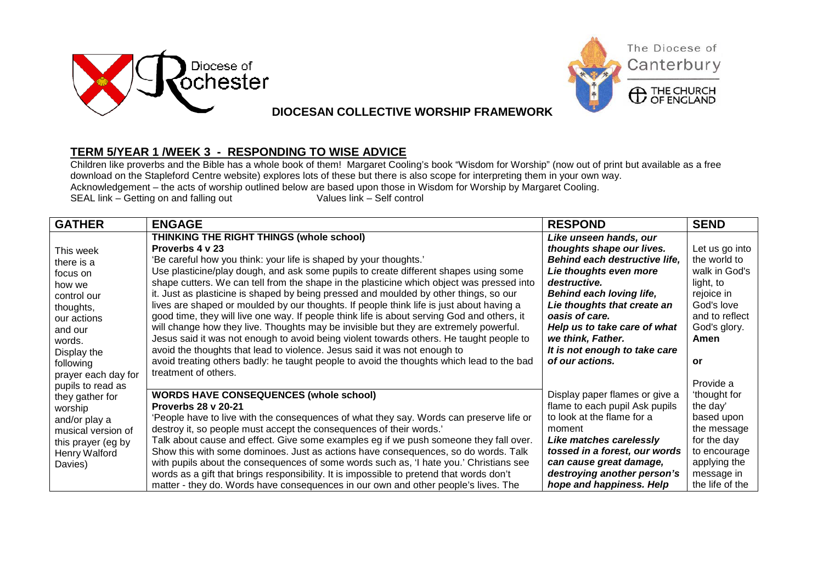



## **DIOCESAN COLLECTIVE WORSHIP FRAMEWORK**

## **TERM 5/YEAR 1 /WEEK 3 - RESPONDING TO WISE ADVICE**

Children like proverbs and the Bible has a whole book of them! Margaret Cooling's book "Wisdom for Worship" (now out of print but available as a free download on the Stapleford Centre website) explores lots of these but there is also scope for interpreting them in your own way. Acknowledgement – the acts of worship outlined below are based upon those in Wisdom for Worship by Margaret Cooling.<br>SEAL link – Getting on and falling out various Values link – Self control SEAL link  $-$  Getting on and falling out

| <b>GATHER</b>       | <b>ENGAGE</b>                                                                               | <b>RESPOND</b>                 | <b>SEND</b>     |
|---------------------|---------------------------------------------------------------------------------------------|--------------------------------|-----------------|
|                     | THINKING THE RIGHT THINGS (whole school)                                                    | Like unseen hands, our         |                 |
| This week           | Proverbs 4 v 23                                                                             | thoughts shape our lives.      | Let us go into  |
| there is a          | 'Be careful how you think: your life is shaped by your thoughts.'                           | Behind each destructive life,  | the world to    |
| focus on            | Use plasticine/play dough, and ask some pupils to create different shapes using some        | Lie thoughts even more         | walk in God's   |
| how we              | shape cutters. We can tell from the shape in the plasticine which object was pressed into   | destructive.                   | light, to       |
| control our         | it. Just as plasticine is shaped by being pressed and moulded by other things, so our       | Behind each loving life,       | rejoice in      |
| thoughts,           | lives are shaped or moulded by our thoughts. If people think life is just about having a    | Lie thoughts that create an    | God's love      |
| our actions         | good time, they will live one way. If people think life is about serving God and others, it | oasis of care.                 | and to reflect  |
| and our             | will change how they live. Thoughts may be invisible but they are extremely powerful.       | Help us to take care of what   | God's glory.    |
| words.              | Jesus said it was not enough to avoid being violent towards others. He taught people to     | we think, Father.              | Amen            |
| Display the         | avoid the thoughts that lead to violence. Jesus said it was not enough to                   | It is not enough to take care  |                 |
| following           | avoid treating others badly: he taught people to avoid the thoughts which lead to the bad   | of our actions.                | or              |
| prayer each day for | treatment of others.                                                                        |                                |                 |
| pupils to read as   |                                                                                             |                                | Provide a       |
| they gather for     | <b>WORDS HAVE CONSEQUENCES (whole school)</b>                                               | Display paper flames or give a | 'thought for    |
| worship             | <b>Proverbs 28 v 20-21</b>                                                                  | flame to each pupil Ask pupils | the day'        |
| and/or play a       | 'People have to live with the consequences of what they say. Words can preserve life or     | to look at the flame for a     | based upon      |
| musical version of  | destroy it, so people must accept the consequences of their words.'                         | moment                         | the message     |
| this prayer (eg by  | Talk about cause and effect. Give some examples eg if we push someone they fall over.       | Like matches carelessly        | for the day     |
| Henry Walford       | Show this with some dominoes. Just as actions have consequences, so do words. Talk          | tossed in a forest, our words  | to encourage    |
| Davies)             | with pupils about the consequences of some words such as, 'I hate you.' Christians see      | can cause great damage,        | applying the    |
|                     | words as a gift that brings responsibility. It is impossible to pretend that words don't    | destroying another person's    | message in      |
|                     | matter - they do. Words have consequences in our own and other people's lives. The          | hope and happiness. Help       | the life of the |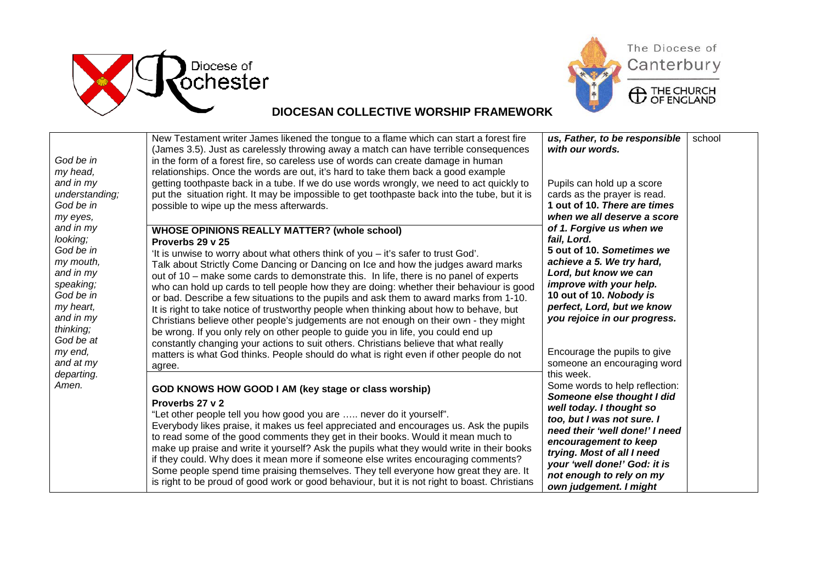



## **DIOCESAN COLLECTIVE WORSHIP FRAMEWORK**

| God be in<br>my head,                                                                                                                                                                     | New Testament writer James likened the tongue to a flame which can start a forest fire<br>(James 3.5). Just as carelessly throwing away a match can have terrible consequences<br>in the form of a forest fire, so careless use of words can create damage in human<br>relationships. Once the words are out, it's hard to take them back a good example                                                                                                                                                                                                                                                                                                                                                                                                                                                                                                                                                                                                                                     | us, Father, to be responsible<br>with our words.                                                                                                                                                                                                                                                                                                                                                                                                                                                                                                                                                                                     | school |
|-------------------------------------------------------------------------------------------------------------------------------------------------------------------------------------------|----------------------------------------------------------------------------------------------------------------------------------------------------------------------------------------------------------------------------------------------------------------------------------------------------------------------------------------------------------------------------------------------------------------------------------------------------------------------------------------------------------------------------------------------------------------------------------------------------------------------------------------------------------------------------------------------------------------------------------------------------------------------------------------------------------------------------------------------------------------------------------------------------------------------------------------------------------------------------------------------|--------------------------------------------------------------------------------------------------------------------------------------------------------------------------------------------------------------------------------------------------------------------------------------------------------------------------------------------------------------------------------------------------------------------------------------------------------------------------------------------------------------------------------------------------------------------------------------------------------------------------------------|--------|
| and in my<br>understanding;<br>God be in<br>my eyes,                                                                                                                                      | getting toothpaste back in a tube. If we do use words wrongly, we need to act quickly to<br>put the situation right. It may be impossible to get toothpaste back into the tube, but it is<br>possible to wipe up the mess afterwards.                                                                                                                                                                                                                                                                                                                                                                                                                                                                                                                                                                                                                                                                                                                                                        | Pupils can hold up a score<br>cards as the prayer is read.<br>1 out of 10. There are times<br>when we all deserve a score                                                                                                                                                                                                                                                                                                                                                                                                                                                                                                            |        |
| and in my<br>looking;<br>God be in<br>my mouth,<br>and in my<br>speaking;<br>God be in<br>my heart,<br>and in my<br>thinking;<br>God be at<br>my end,<br>and at my<br>departing.<br>Amen. | <b>WHOSE OPINIONS REALLY MATTER? (whole school)</b><br>Proverbs 29 v 25<br>'It is unwise to worry about what others think of you - it's safer to trust God'.<br>Talk about Strictly Come Dancing or Dancing on Ice and how the judges award marks<br>out of 10 - make some cards to demonstrate this. In life, there is no panel of experts<br>who can hold up cards to tell people how they are doing: whether their behaviour is good<br>or bad. Describe a few situations to the pupils and ask them to award marks from 1-10.<br>It is right to take notice of trustworthy people when thinking about how to behave, but<br>Christians believe other people's judgements are not enough on their own - they might<br>be wrong. If you only rely on other people to guide you in life, you could end up<br>constantly changing your actions to suit others. Christians believe that what really<br>matters is what God thinks. People should do what is right even if other people do not | of 1. Forgive us when we<br>fail, Lord.<br>5 out of 10. Sometimes we<br>achieve a 5. We try hard,<br>Lord, but know we can<br>improve with your help.<br>10 out of 10. Nobody is<br>perfect, Lord, but we know<br>you rejoice in our progress.<br>Encourage the pupils to give<br>someone an encouraging word<br>this week.<br>Some words to help reflection:<br>Someone else thought I did<br>well today. I thought so<br>too, but I was not sure. I<br>need their 'well done!' I need<br>encouragement to keep<br>trying. Most of all I need<br>your 'well done!' God: it is<br>not enough to rely on my<br>own judgement. I might |        |
|                                                                                                                                                                                           | agree.<br>GOD KNOWS HOW GOOD I AM (key stage or class worship)<br>Proverbs 27 v 2<br>"Let other people tell you how good you are  never do it yourself".<br>Everybody likes praise, it makes us feel appreciated and encourages us. Ask the pupils<br>to read some of the good comments they get in their books. Would it mean much to<br>make up praise and write it yourself? Ask the pupils what they would write in their books<br>if they could. Why does it mean more if someone else writes encouraging comments?<br>Some people spend time praising themselves. They tell everyone how great they are. It<br>is right to be proud of good work or good behaviour, but it is not right to boast. Christians                                                                                                                                                                                                                                                                           |                                                                                                                                                                                                                                                                                                                                                                                                                                                                                                                                                                                                                                      |        |